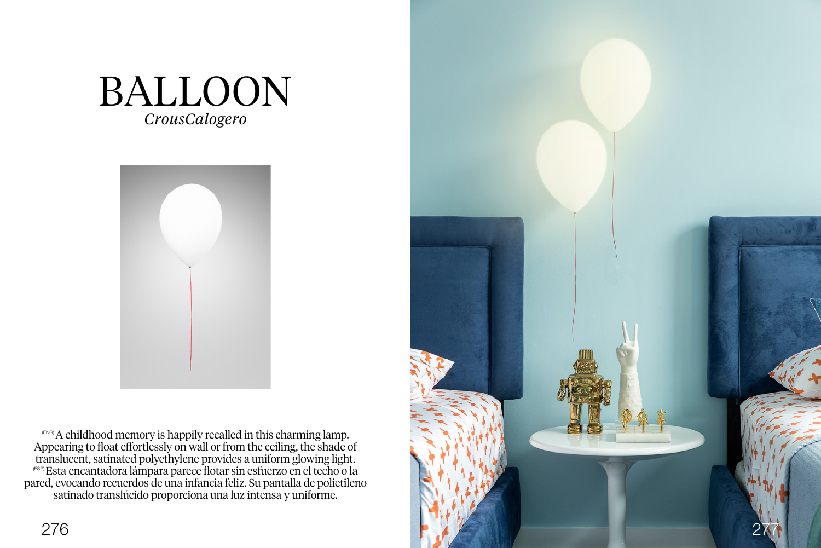$f(x) \in A$  childhood memory is happily recalled in this charming lamp. Appearing to float effortlessly on wall or from the ceiling, the shade of translucent, satinated polyethylene provides a uniform glowing light. (ESP) Esta encantadora lámpara parece flotar sin esfuerzo en el techo o la pared, evocando recuerdos de una infancia feliz. Su pantalla de polietileno satinado translúcido proporciona una luz intensa y uniforme.





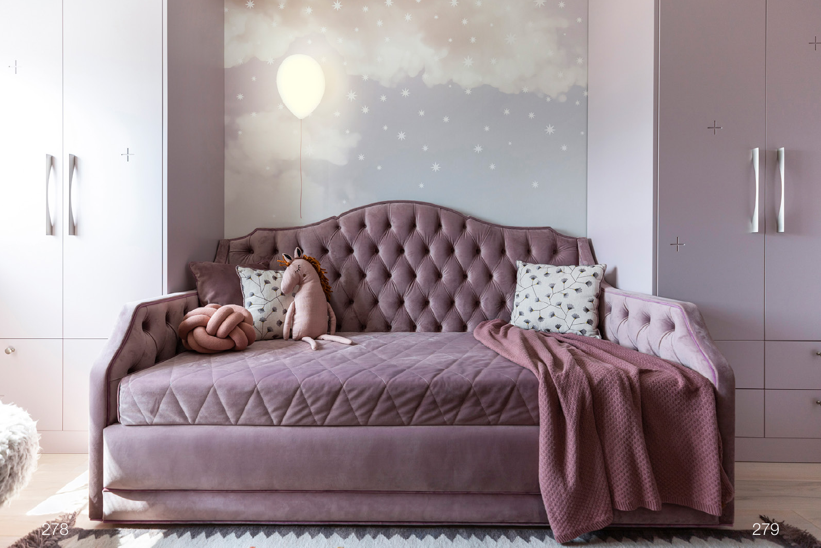